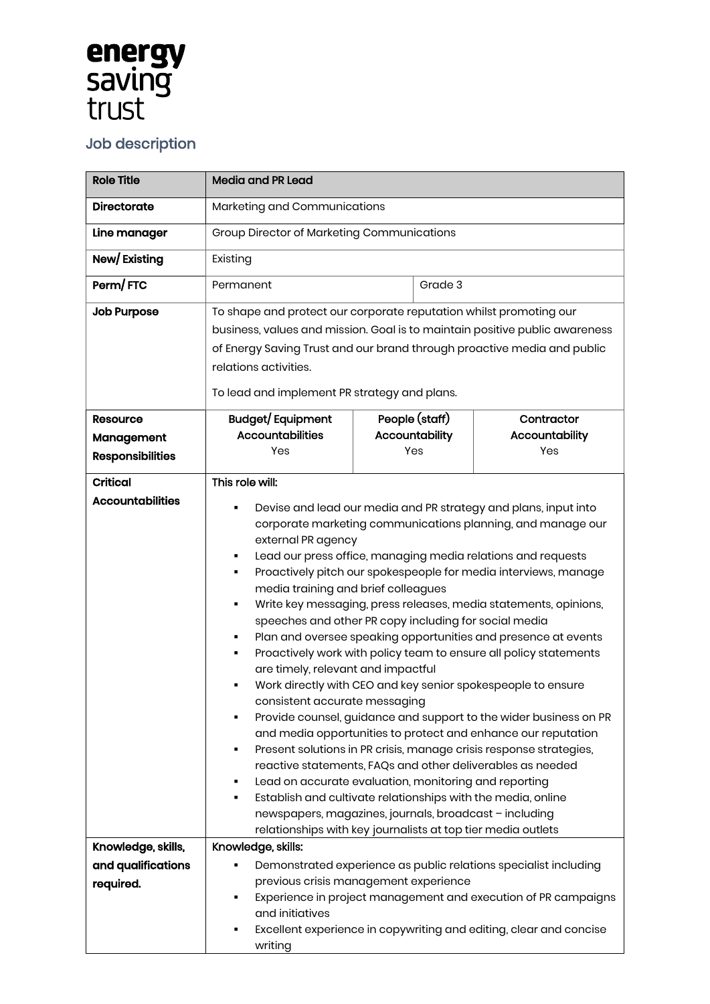## **energy**<br>saving<br>trust

## Job description

| <b>Role Title</b>                                                | <b>Media and PR Lead</b>                                                                                                                                                                                                                                                                                                                                                                                                                                                                                                                                                                                                                                                                                                                                                                                                                                                                                                                                                                                                                                                                                                                                                                                                                                                                                                     |                       |  |                       |
|------------------------------------------------------------------|------------------------------------------------------------------------------------------------------------------------------------------------------------------------------------------------------------------------------------------------------------------------------------------------------------------------------------------------------------------------------------------------------------------------------------------------------------------------------------------------------------------------------------------------------------------------------------------------------------------------------------------------------------------------------------------------------------------------------------------------------------------------------------------------------------------------------------------------------------------------------------------------------------------------------------------------------------------------------------------------------------------------------------------------------------------------------------------------------------------------------------------------------------------------------------------------------------------------------------------------------------------------------------------------------------------------------|-----------------------|--|-----------------------|
| <b>Directorate</b>                                               | Marketing and Communications                                                                                                                                                                                                                                                                                                                                                                                                                                                                                                                                                                                                                                                                                                                                                                                                                                                                                                                                                                                                                                                                                                                                                                                                                                                                                                 |                       |  |                       |
| Line manager                                                     | <b>Group Director of Marketing Communications</b>                                                                                                                                                                                                                                                                                                                                                                                                                                                                                                                                                                                                                                                                                                                                                                                                                                                                                                                                                                                                                                                                                                                                                                                                                                                                            |                       |  |                       |
| New/Existing                                                     | Existing                                                                                                                                                                                                                                                                                                                                                                                                                                                                                                                                                                                                                                                                                                                                                                                                                                                                                                                                                                                                                                                                                                                                                                                                                                                                                                                     |                       |  |                       |
| Perm/FTC                                                         | Permanent                                                                                                                                                                                                                                                                                                                                                                                                                                                                                                                                                                                                                                                                                                                                                                                                                                                                                                                                                                                                                                                                                                                                                                                                                                                                                                                    | Grade 3               |  |                       |
| <b>Job Purpose</b>                                               | To shape and protect our corporate reputation whilst promoting our<br>business, values and mission. Goal is to maintain positive public awareness<br>of Energy Saving Trust and our brand through proactive media and public                                                                                                                                                                                                                                                                                                                                                                                                                                                                                                                                                                                                                                                                                                                                                                                                                                                                                                                                                                                                                                                                                                 |                       |  |                       |
|                                                                  | relations activities.                                                                                                                                                                                                                                                                                                                                                                                                                                                                                                                                                                                                                                                                                                                                                                                                                                                                                                                                                                                                                                                                                                                                                                                                                                                                                                        |                       |  |                       |
|                                                                  | To lead and implement PR strategy and plans.                                                                                                                                                                                                                                                                                                                                                                                                                                                                                                                                                                                                                                                                                                                                                                                                                                                                                                                                                                                                                                                                                                                                                                                                                                                                                 |                       |  |                       |
| <b>Resource</b>                                                  | <b>Budget/Equipment</b>                                                                                                                                                                                                                                                                                                                                                                                                                                                                                                                                                                                                                                                                                                                                                                                                                                                                                                                                                                                                                                                                                                                                                                                                                                                                                                      | People (staff)        |  | Contractor            |
| Management                                                       | <b>Accountabilities</b><br>Yes                                                                                                                                                                                                                                                                                                                                                                                                                                                                                                                                                                                                                                                                                                                                                                                                                                                                                                                                                                                                                                                                                                                                                                                                                                                                                               | Accountability<br>Yes |  | Accountability<br>Yes |
| <b>Responsibilities</b>                                          |                                                                                                                                                                                                                                                                                                                                                                                                                                                                                                                                                                                                                                                                                                                                                                                                                                                                                                                                                                                                                                                                                                                                                                                                                                                                                                                              |                       |  |                       |
| <b>Critical</b><br><b>Accountabilities</b><br>Knowledge, skills, | This role will:<br>Devise and lead our media and PR strategy and plans, input into<br>corporate marketing communications planning, and manage our<br>external PR agency<br>Lead our press office, managing media relations and requests<br>Proactively pitch our spokespeople for media interviews, manage<br>п<br>media training and brief colleagues<br>Write key messaging, press releases, media statements, opinions,<br>٠<br>speeches and other PR copy including for social media<br>Plan and oversee speaking opportunities and presence at events<br>Proactively work with policy team to ensure all policy statements<br>п<br>are timely, relevant and impactful<br>Work directly with CEO and key senior spokespeople to ensure<br>consistent accurate messaging<br>Provide counsel, guidance and support to the wider business on PR<br>п<br>and media opportunities to protect and enhance our reputation<br>Present solutions in PR crisis, manage crisis response strategies,<br>٠<br>reactive statements, FAQs and other deliverables as needed<br>Lead on accurate evaluation, monitoring and reporting<br>٠<br>Establish and cultivate relationships with the media, online<br>٠<br>newspapers, magazines, journals, broadcast - including<br>relationships with key journalists at top tier media outlets |                       |  |                       |
| and qualifications                                               | Knowledge, skills:<br>Demonstrated experience as public relations specialist including                                                                                                                                                                                                                                                                                                                                                                                                                                                                                                                                                                                                                                                                                                                                                                                                                                                                                                                                                                                                                                                                                                                                                                                                                                       |                       |  |                       |
| required.                                                        | previous crisis management experience<br>Experience in project management and execution of PR campaigns<br>٠<br>and initiatives<br>Excellent experience in copywriting and editing, clear and concise<br>٠<br>writing                                                                                                                                                                                                                                                                                                                                                                                                                                                                                                                                                                                                                                                                                                                                                                                                                                                                                                                                                                                                                                                                                                        |                       |  |                       |